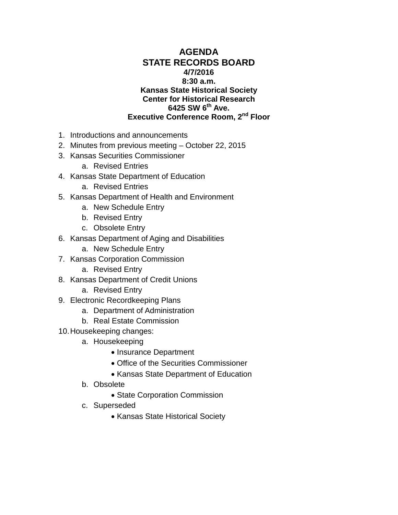#### **AGENDA STATE RECORDS BOARD 4/7/2016 8:30 a.m. Kansas State Historical Society Center for Historical Research 6425 SW 6th Ave. Executive Conference Room, 2nd Floor**

- 1. Introductions and announcements
- 2. Minutes from previous meeting October 22, 2015
- 3. Kansas Securities Commissioner
	- a. Revised Entries
- 4. Kansas State Department of Education
	- a. Revised Entries
- 5. Kansas Department of Health and Environment
	- a. New Schedule Entry
	- b. Revised Entry
	- c. Obsolete Entry
- 6. Kansas Department of Aging and Disabilities
	- a. New Schedule Entry
- 7. Kansas Corporation Commission
	- a. Revised Entry
- 8. Kansas Department of Credit Unions
	- a. Revised Entry
- 9. Electronic Recordkeeping Plans
	- a. Department of Administration
	- b. Real Estate Commission
- 10.Housekeeping changes:
	- a. Housekeeping
		- Insurance Department
		- Office of the Securities Commissioner
		- Kansas State Department of Education
	- b. Obsolete
		- State Corporation Commission
	- c. Superseded
		- Kansas State Historical Society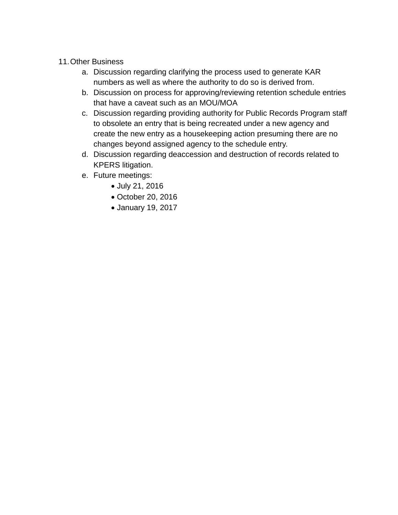- 11.Other Business
	- a. Discussion regarding clarifying the process used to generate KAR numbers as well as where the authority to do so is derived from.
	- b. Discussion on process for approving/reviewing retention schedule entries that have a caveat such as an MOU/MOA
	- c. Discussion regarding providing authority for Public Records Program staff to obsolete an entry that is being recreated under a new agency and create the new entry as a housekeeping action presuming there are no changes beyond assigned agency to the schedule entry.
	- d. Discussion regarding deaccession and destruction of records related to KPERS litigation.
	- e. Future meetings:
		- July 21, 2016
		- October 20, 2016
		- January 19, 2017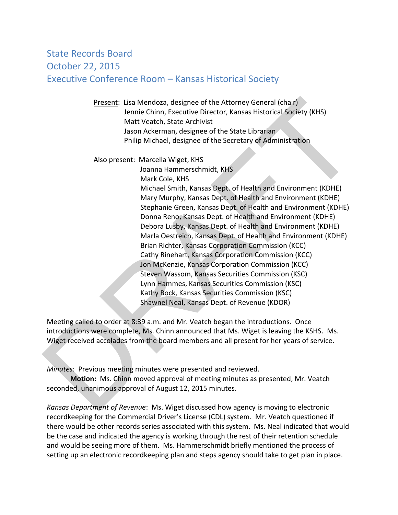## State Records Board October 22, 2015 Executive Conference Room – Kansas Historical Society

Present: Lisa Mendoza, designee of the Attorney General (chair) Jennie Chinn, Executive Director, Kansas Historical Society (KHS) Matt Veatch, State Archivist Jason Ackerman, designee of the State Librarian Philip Michael, designee of the Secretary of Administration

Also present: Marcella Wiget, KHS

 Joanna Hammerschmidt, KHS Mark Cole, KHS Michael Smith, Kansas Dept. of Health and Environment (KDHE) Mary Murphy, Kansas Dept. of Health and Environment (KDHE) Stephanie Green, Kansas Dept. of Health and Environment (KDHE) Donna Reno, Kansas Dept. of Health and Environment (KDHE) Debora Lusby, Kansas Dept. of Health and Environment (KDHE) Marla Oestreich, Kansas Dept. of Health and Environment (KDHE) Brian Richter, Kansas Corporation Commission (KCC) Cathy Rinehart, Kansas Corporation Commission (KCC) Jon McKenzie, Kansas Corporation Commission (KCC) Steven Wassom, Kansas Securities Commission (KSC) Lynn Hammes, Kansas Securities Commission (KSC) Kathy Bock, Kansas Securities Commission (KSC) Shawnel Neal, Kansas Dept. of Revenue (KDOR) Present: Lisa Mendoza, designee of the Attorney General (chair)<br>
Jennie Chinn, Executive Director, Kansas Historical Society (KHS)<br>
Jost Native Markoman, designee of the Secretary of Administration<br>
Jason Ackerman, designe

Meeting called to order at 8:39 a.m. and Mr. Veatch began the introductions. Once introductions were complete, Ms. Chinn announced that Ms. Wiget is leaving the KSHS. Ms. Wiget received accolades from the board members and all present for her years of service.

*Minutes*: Previous meeting minutes were presented and reviewed.

**Motion:** Ms. Chinn moved approval of meeting minutes as presented, Mr. Veatch seconded, unanimous approval of August 12, 2015 minutes.

*Kansas Department of Revenue*: Ms. Wiget discussed how agency is moving to electronic recordkeeping for the Commercial Driver's License (CDL) system. Mr. Veatch questioned if there would be other records series associated with this system. Ms. Neal indicated that would be the case and indicated the agency is working through the rest of their retention schedule and would be seeing more of them. Ms. Hammerschmidt briefly mentioned the process of setting up an electronic recordkeeping plan and steps agency should take to get plan in place.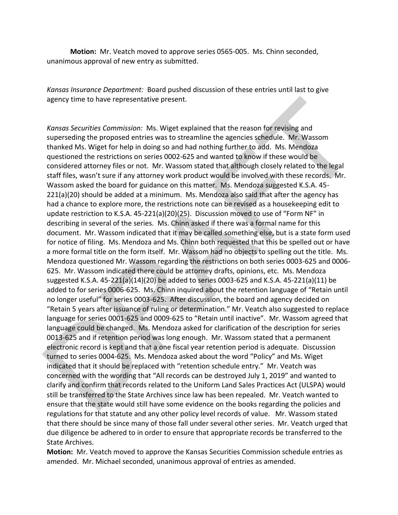**Motion:** Mr. Veatch moved to approve series 0565-005. Ms. Chinn seconded, unanimous approval of new entry as submitted.

*Kansas Insurance Department:* Board pushed discussion of these entries until last to give agency time to have representative present.

*Kansas Securities Commission:* Ms. Wiget explained that the reason for revising and superseding the proposed entries was to streamline the agencies schedule. Mr. Wassom thanked Ms. Wiget for help in doing so and had nothing further to add. Ms. Mendoza questioned the restrictions on series 0002-625 and wanted to know if these would be considered attorney files or not. Mr. Wassom stated that although closely related to the legal staff files, wasn't sure if any attorney work product would be involved with these records. Mr. Wassom asked the board for guidance on this matter. Ms. Mendoza suggested K.S.A. 45- 221(a)(20) should be added at a minimum. Ms. Mendoza also said that after the agency has had a chance to explore more, the restrictions note can be revised as a housekeeping edit to update restriction to K.S.A. 45-221(a)(20)(25). Discussion moved to use of "Form NF" in describing in several of the series. Ms. Chinn asked if there was a formal name for this document. Mr. Wassom indicated that it may be called something else, but is a state form used for notice of filing. Ms. Mendoza and Ms. Chinn both requested that this be spelled out or have a more formal title on the form itself. Mr. Wassom had no objects to spelling out the title. Ms. Mendoza questioned Mr. Wassom regarding the restrictions on both series 0003-625 and 0006- 625. Mr. Wassom indicated there could be attorney drafts, opinions, etc. Ms. Mendoza suggested K.S.A. 45-221(a)(14)(20) be added to series 0003-625 and K.S.A. 45-221(a)(11) be added to for series 0006-625. Ms. Chinn inquired about the retention language of "Retain until no longer useful" for series 0003-625. After discussion, the board and agency decided on "Retain 5 years after issuance of ruling or determination." Mr. Veatch also suggested to replace language for series 0001-625 and 0009-625 to "Retain until inactive". Mr. Wassom agreed that language could be changed. Ms. Mendoza asked for clarification of the description for series 0013-625 and if retention period was long enough. Mr. Wassom stated that a permanent electronic record is kept and that a one fiscal year retention period is adequate. Discussion turned to series 0004-625. Ms. Mendoza asked about the word "Policy" and Ms. Wiget indicated that it should be replaced with "retention schedule entry." Mr. Veatch was concerned with the wording that "All records can be destroyed July 1, 2019" and wanted to clarify and confirm that records related to the Uniform Land Sales Practices Act (ULSPA) would still be transferred to the State Archives since law has been repealed. Mr. Veatch wanted to ensure that the state would still have some evidence on the books regarding the policies and regulations for that statute and any other policy level records of value. Mr. Wassom stated that there should be since many of those fall under several other series. Mr. Veatch urged that due diligence be adhered to in order to ensure that appropriate records be transferred to the State Archives. agency time to have representative present.<br>
Konsas Securities Commission: Ms. Wiget explained that the reason for revising and<br>
superseding the proposed entries was to streamline the agencies schedule. Mr. Wassom<br>
thanked

**Motion:** Mr. Veatch moved to approve the Kansas Securities Commission schedule entries as amended. Mr. Michael seconded, unanimous approval of entries as amended.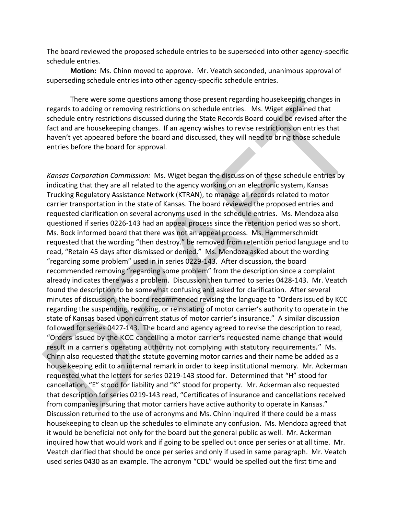The board reviewed the proposed schedule entries to be superseded into other agency-specific schedule entries.

**Motion:** Ms. Chinn moved to approve. Mr. Veatch seconded, unanimous approval of superseding schedule entries into other agency-specific schedule entries.

There were some questions among those present regarding housekeeping changes in regards to adding or removing restrictions on schedule entries. Ms. Wiget explained that schedule entry restrictions discussed during the State Records Board could be revised after the fact and are housekeeping changes. If an agency wishes to revise restrictions on entries that haven't yet appeared before the board and discussed, they will need to bring those schedule entries before the board for approval.

*Kansas Corporation Commission:* Ms. Wiget began the discussion of these schedule entries by indicating that they are all related to the agency working on an electronic system, Kansas Trucking Regulatory Assistance Network (KTRAN), to manage all records related to motor carrier transportation in the state of Kansas. The board reviewed the proposed entries and requested clarification on several acronyms used in the schedule entries. Ms. Mendoza also questioned if series 0226-143 had an appeal process since the retention period was so short. Ms. Bock informed board that there was not an appeal process. Ms. Hammerschmidt requested that the wording "then destroy." be removed from retention period language and to read, "Retain 45 days after dismissed or denied." Ms. Mendoza asked about the wording "regarding some problem" used in in series 0229-143. After discussion, the board recommended removing "regarding some problem" from the description since a complaint already indicates there was a problem. Discussion then turned to series 0428-143. Mr. Veatch found the description to be somewhat confusing and asked for clarification. After several minutes of discussion, the board recommended revising the language to "Orders issued by KCC regarding the suspending, revoking, or reinstating of motor carrier's authority to operate in the state of Kansas based upon current status of motor carrier's insurance." A similar discussion followed for series 0427-143. The board and agency agreed to revise the description to read, "Orders issued by the KCC cancelling a motor carrier's requested name change that would result in a carrier's operating authority not complying with statutory requirements." Ms. Chinn also requested that the statute governing motor carries and their name be added as a house keeping edit to an internal remark in order to keep institutional memory. Mr. Ackerman requested what the letters for series 0219-143 stood for. Determined that "H" stood for cancellation, "E" stood for liability and "K" stood for property. Mr. Ackerman also requested that description for series 0219-143 read, "Certificates of insurance and cancellations received from companies insuring that motor carriers have active authority to operate in Kansas." Discussion returned to the use of acronyms and Ms. Chinn inquired if there could be a mass housekeeping to clean up the schedules to eliminate any confusion. Ms. Mendoza agreed that it would be beneficial not only for the board but the general public as well. Mr. Ackerman inquired how that would work and if going to be spelled out once per series or at all time. Mr. Veatch clarified that should be once per series and only if used in same paragraph. Mr. Veatch used series 0430 as an example. The acronym "CDL" would be spelled out the first time and There were some questions among those present regarding housekeeping changes in<br>Tradict a dding or removing restrictions on schedule entities. Ms. Wiget explained that<br>schedule entry restrictions discussed during the State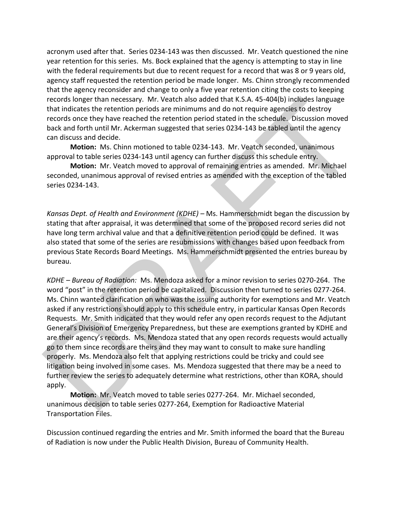acronym used after that. Series 0234-143 was then discussed. Mr. Veatch questioned the nine year retention for this series. Ms. Bock explained that the agency is attempting to stay in line with the federal requirements but due to recent request for a record that was 8 or 9 years old, agency staff requested the retention period be made longer. Ms. Chinn strongly recommended that the agency reconsider and change to only a five year retention citing the costs to keeping records longer than necessary. Mr. Veatch also added that K.S.A. 45-404(b) includes language that indicates the retention periods are minimums and do not require agencies to destroy records once they have reached the retention period stated in the schedule. Discussion moved back and forth until Mr. Ackerman suggested that series 0234-143 be tabled until the agency can discuss and decide.

**Motion:** Ms. Chinn motioned to table 0234-143. Mr. Veatch seconded, unanimous approval to table series 0234-143 until agency can further discuss this schedule entry.

**Motion:** Mr. Veatch moved to approval of remaining entries as amended. Mr. Michael seconded, unanimous approval of revised entries as amended with the exception of the tabled series 0234-143.

*Kansas Dept. of Health and Environment (KDHE) – Ms. Hammerschmidt began the discussion by* stating that after appraisal, it was determined that some of the proposed record series did not have long term archival value and that a definitive retention period could be defined. It was also stated that some of the series are resubmissions with changes based upon feedback from previous State Records Board Meetings. Ms. Hammerschmidt presented the entries bureau by bureau.

*KDHE – Bureau of Radiation:* Ms. Mendoza asked for a minor revision to series 0270-264. The word "post" in the retention period be capitalized. Discussion then turned to series 0277-264. Ms. Chinn wanted clarification on who was the issuing authority for exemptions and Mr. Veatch asked if any restrictions should apply to this schedule entry, in particular Kansas Open Records Requests. Mr. Smith indicated that they would refer any open records request to the Adjutant General's Division of Emergency Preparedness, but these are exemptions granted by KDHE and are their agency's records. Ms. Mendoza stated that any open records requests would actually go to them since records are theirs and they may want to consult to make sure handling properly. Ms. Mendoza also felt that applying restrictions could be tricky and could see litigation being involved in some cases. Ms. Mendoza suggested that there may be a need to further review the series to adequately determine what restrictions, other than KORA, should apply. reaction longits than necessary. Mr. Vestch also added that K.S.A.45-404(b) includes language<br>that indicates the retention periods are minimums and do not require agendes to destroy<br>records once they have reached the rete

**Motion:** Mr. Veatch moved to table series 0277-264. Mr. Michael seconded, unanimous decision to table series 0277-264, Exemption for Radioactive Material Transportation Files.

Discussion continued regarding the entries and Mr. Smith informed the board that the Bureau of Radiation is now under the Public Health Division, Bureau of Community Health.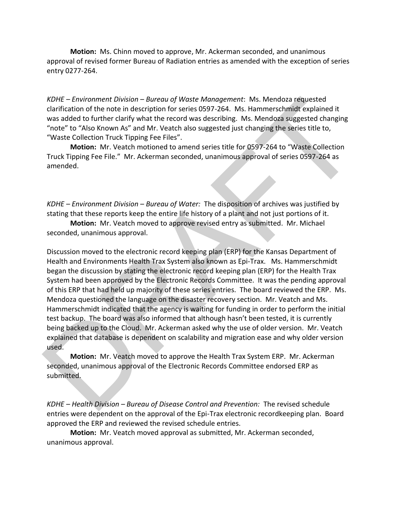**Motion:** Ms. Chinn moved to approve, Mr. Ackerman seconded, and unanimous approval of revised former Bureau of Radiation entries as amended with the exception of series entry 0277-264.

*KDHE – Environment Division – Bureau of Waste Management*: Ms. Mendoza requested clarification of the note in description for series 0597-264. Ms. Hammerschmidt explained it was added to further clarify what the record was describing. Ms. Mendoza suggested changing "note" to "Also Known As" and Mr. Veatch also suggested just changing the series title to, "Waste Collection Truck Tipping Fee Files".

**Motion:** Mr. Veatch motioned to amend series title for 0597-264 to "Waste Collection Truck Tipping Fee File." Mr. Ackerman seconded, unanimous approval of series 0597-264 as amended.

*KDHE – Environment Division – Bureau of Water:* The disposition of archives was justified by stating that these reports keep the entire life history of a plant and not just portions of it.

**Motion:** Mr. Veatch moved to approve revised entry as submitted. Mr. Michael seconded, unanimous approval.

Discussion moved to the electronic record keeping plan (ERP) for the Kansas Department of Health and Environments Health Trax System also known as Epi-Trax. Ms. Hammerschmidt began the discussion by stating the electronic record keeping plan (ERP) for the Health Trax System had been approved by the Electronic Records Committee. It was the pending approval of this ERP that had held up majority of these series entries. The board reviewed the ERP. Ms. Mendoza questioned the language on the disaster recovery section. Mr. Veatch and Ms. Hammerschmidt indicated that the agency is waiting for funding in order to perform the initial test backup. The board was also informed that although hasn't been tested, it is currently being backed up to the Cloud. Mr. Ackerman asked why the use of older version. Mr. Veatch explained that database is dependent on scalability and migration ease and why older version used. *KDHE – Environment Division – Bureau of Woste Management: Ms. Mendoza requested<br>
diatrication of the note in description for series 0597-264. Ms. Hammerschmidt explained it<br>
was added to further clarify what the record w* 

**Motion:** Mr. Veatch moved to approve the Health Trax System ERP. Mr. Ackerman seconded, unanimous approval of the Electronic Records Committee endorsed ERP as submitted.

*KDHE – Health Division – Bureau of Disease Control and Prevention:* The revised schedule entries were dependent on the approval of the Epi-Trax electronic recordkeeping plan. Board approved the ERP and reviewed the revised schedule entries.

**Motion:** Mr. Veatch moved approval as submitted, Mr. Ackerman seconded, unanimous approval.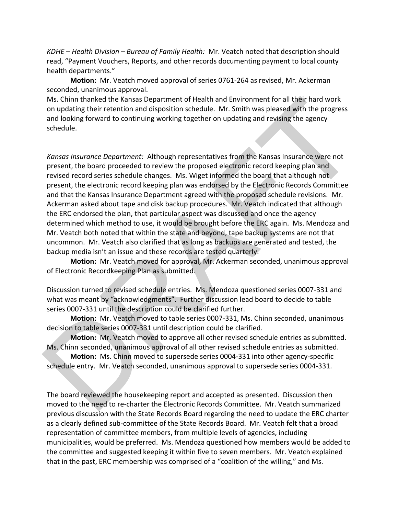*KDHE – Health Division – Bureau of Family Health:* Mr. Veatch noted that description should read, "Payment Vouchers, Reports, and other records documenting payment to local county health departments."

**Motion:** Mr. Veatch moved approval of series 0761-264 as revised, Mr. Ackerman seconded, unanimous approval.

Ms. Chinn thanked the Kansas Department of Health and Environment for all their hard work on updating their retention and disposition schedule. Mr. Smith was pleased with the progress and looking forward to continuing working together on updating and revising the agency schedule.

*Kansas Insurance Department:* Although representatives from the Kansas Insurance were not present, the board proceeded to review the proposed electronic record keeping plan and revised record series schedule changes. Ms. Wiget informed the board that although not present, the electronic record keeping plan was endorsed by the Electronic Records Committee and that the Kansas Insurance Department agreed with the proposed schedule revisions. Mr. Ackerman asked about tape and disk backup procedures. Mr. Veatch indicated that although the ERC endorsed the plan, that particular aspect was discussed and once the agency determined which method to use, it would be brought before the ERC again. Ms. Mendoza and Mr. Veatch both noted that within the state and beyond, tape backup systems are not that uncommon. Mr. Veatch also clarified that as long as backups are generated and tested, the backup media isn't an issue and these records are tested quarterly. Ms. Chinn thanked the Kanasa Department of Health and Environment for all their hard wise<br>on updating their retention and disposition schedule. Mr. Smith was pleased with the progress<br>and looking forward to continuing work

**Motion:** Mr. Veatch moved for approval, Mr. Ackerman seconded, unanimous approval of Electronic Recordkeeping Plan as submitted.

Discussion turned to revised schedule entries. Ms. Mendoza questioned series 0007-331 and what was meant by "acknowledgments". Further discussion lead board to decide to table series 0007-331 until the description could be clarified further.

**Motion:** Mr. Veatch moved to table series 0007-331, Ms. Chinn seconded, unanimous decision to table series 0007-331 until description could be clarified.

**Motion:** Mr. Veatch moved to approve all other revised schedule entries as submitted. Ms. Chinn seconded, unanimous approval of all other revised schedule entries as submitted.

**Motion:** Ms. Chinn moved to supersede series 0004-331 into other agency-specific schedule entry. Mr. Veatch seconded, unanimous approval to supersede series 0004-331.

The board reviewed the housekeeping report and accepted as presented. Discussion then moved to the need to re-charter the Electronic Records Committee. Mr. Veatch summarized previous discussion with the State Records Board regarding the need to update the ERC charter as a clearly defined sub-committee of the State Records Board. Mr. Veatch felt that a broad representation of committee members, from multiple levels of agencies, including municipalities, would be preferred. Ms. Mendoza questioned how members would be added to the committee and suggested keeping it within five to seven members. Mr. Veatch explained that in the past, ERC membership was comprised of a "coalition of the willing," and Ms.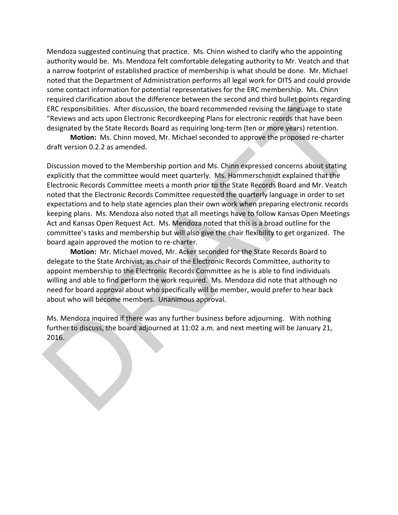Mendoza suggested continuing that practice. Ms. Chinn wished to clarify who the appointing authority would be. Ms. Mendoza felt comfortable delegating authority to Mr. Veatch and that a narrow footprint of established practice of membership is what should be done. Mr. Michael noted that the Department of Administration performs all legal work for OITS and could provide some contact information for potential representatives for the ERC membership. Ms. Chinn required clarification about the difference between the second and third bullet points regarding ERC responsibilities. After discussion, the board recommended revising the language to state "Reviews and acts upon Electronic Recordkeeping Plans for electronic records that have been designated by the State Records Board as requiring long-term (ten or more years) retention.

**Motion:** Ms. Chinn moved, Mr. Michael seconded to approve the proposed re-charter draft version 0.2.2 as amended.

Discussion moved to the Membership portion and Ms. Chinn expressed concerns about stating explicitly that the committee would meet quarterly. Ms. Hammerschmidt explained that the Electronic Records Committee meets a month prior to the State Records Board and Mr. Veatch noted that the Electronic Records Committee requested the quarterly language in order to set expectations and to help state agencies plan their own work when preparing electronic records keeping plans. Ms. Mendoza also noted that all meetings have to follow Kansas Open Meetings Act and Kansas Open Request Act. Ms. Mendoza noted that this is a broad outline for the committee's tasks and membership but will also give the chair flexibility to get organized. The board again approved the motion to re-charter. required clarification about the difference between the second and third bullet points regarding exacting experiment of excession, the board recommended revising the language to state "Reviews and acts upon Electronic Reco

**Motion:** Mr. Michael moved, Mr. Acker seconded for the State Records Board to delegate to the State Archivist, as chair of the Electronic Records Committee, authority to appoint membership to the Electronic Records Committee as he is able to find individuals willing and able to find perform the work required. Ms. Mendoza did note that although no need for board approval about who specifically will be member, would prefer to hear back about who will become members. Unanimous approval.

Ms. Mendoza inquired if there was any further business before adjourning. With nothing further to discuss, the board adjourned at 11:02 a.m. and next meeting will be January 21, 2016.

 $\overline{\phantom{a}}$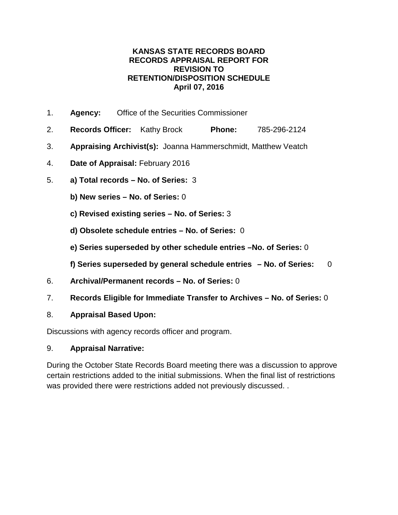- 1. **Agency:** Office of the Securities Commissioner
- 2. **Records Officer:** Kathy Brock **Phone:** 785-296-2124
- 3. **Appraising Archivist(s):** Joanna Hammerschmidt, Matthew Veatch
- 4. **Date of Appraisal:** February 2016
- 5. **a) Total records – No. of Series:** 3
	- **b) New series – No. of Series:** 0
	- **c) Revised existing series – No. of Series:** 3
	- **d) Obsolete schedule entries – No. of Series:** 0
	- **e) Series superseded by other schedule entries –No. of Series:** 0
	- **f) Series superseded by general schedule entries – No. of Series:** 0
- 6. **Archival/Permanent records – No. of Series:** 0
- 7. **Records Eligible for Immediate Transfer to Archives – No. of Series:** 0
- 8. **Appraisal Based Upon:**

Discussions with agency records officer and program.

#### 9. **Appraisal Narrative:**

During the October State Records Board meeting there was a discussion to approve certain restrictions added to the initial submissions. When the final list of restrictions was provided there were restrictions added not previously discussed. .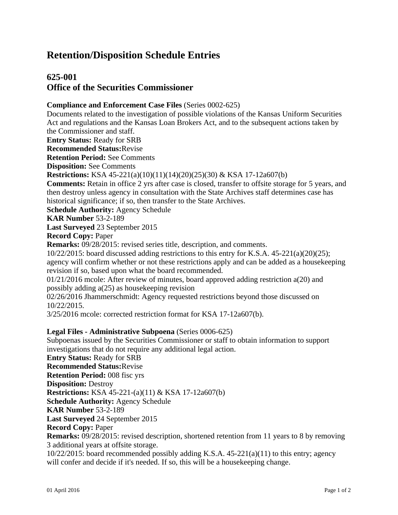### **625-001 Office of the Securities Commissioner**

#### **Compliance and Enforcement Case Files** (Series 0002-625)

Documents related to the investigation of possible violations of the Kansas Uniform Securities Act and regulations and the Kansas Loan Brokers Act, and to the subsequent actions taken by the Commissioner and staff.

**Entry Status:** Ready for SRB

**Recommended Status:**Revise

**Retention Period:** See Comments

**Disposition:** See Comments

**Restrictions:** KSA 45-221(a)(10)(11)(14)(20)(25)(30) & KSA 17-12a607(b)

**Comments:** Retain in office 2 yrs after case is closed, transfer to offsite storage for 5 years, and then destroy unless agency in consultation with the State Archives staff determines case has historical significance; if so, then transfer to the State Archives.

**Schedule Authority:** Agency Schedule

**KAR Number** 53-2-189

**Last Surveyed** 23 September 2015

**Record Copy:** Paper

**Remarks:** 09/28/2015: revised series title, description, and comments.

 $10/22/2015$ : board discussed adding restrictions to this entry for K.S.A.  $45-221(a)(20)(25)$ ; agency will confirm whether or not these restrictions apply and can be added as a housekeeping revision if so, based upon what the board recommended.

01/21/2016 mcole: After review of minutes, board approved adding restriction a(20) and possibly adding a(25) as housekeeping revision

02/26/2016 Jhammerschmidt: Agency requested restrictions beyond those discussed on 10/22/2015.

3/25/2016 mcole: corrected restriction format for KSA 17-12a607(b).

#### **Legal Files - Administrative Subpoena** (Series 0006-625)

Subpoenas issued by the Securities Commissioner or staff to obtain information to support investigations that do not require any additional legal action.

**Entry Status:** Ready for SRB **Recommended Status:**Revise **Retention Period:** 008 fisc yrs **Disposition:** Destroy **Restrictions:** KSA 45-221-(a)(11) & KSA 17-12a607(b) **Schedule Authority:** Agency Schedule **KAR Number** 53-2-189 **Last Surveyed** 24 September 2015 **Record Copy:** Paper **Remarks:** 09/28/2015: revised description, shortened retention from 11 years to 8 by removing 3 additional years at offsite storage. 10/22/2015: board recommended possibly adding K.S.A. 45-221(a)(11) to this entry; agency

will confer and decide if it's needed. If so, this will be a house keeping change.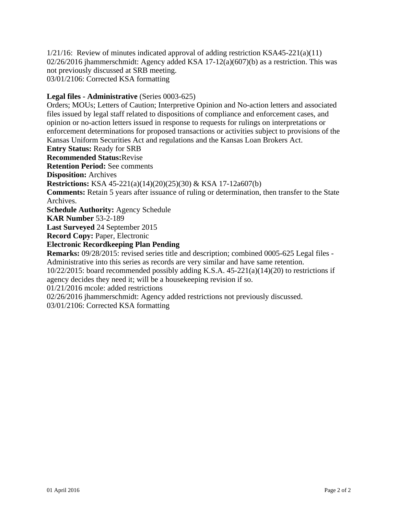$1/21/16$ : Review of minutes indicated approval of adding restriction KSA45-221(a)(11)  $02/26/2016$  jhammerschmidt: Agency added KSA 17-12(a)(607)(b) as a restriction. This was not previously discussed at SRB meeting. 03/01/2106: Corrected KSA formatting

#### **Legal files - Administrative** (Series 0003-625)

Orders; MOUs; Letters of Caution; Interpretive Opinion and No-action letters and associated files issued by legal staff related to dispositions of compliance and enforcement cases, and opinion or no-action letters issued in response to requests for rulings on interpretations or enforcement determinations for proposed transactions or activities subject to provisions of the Kansas Uniform Securities Act and regulations and the Kansas Loan Brokers Act. **Entry Status:** Ready for SRB **Recommended Status:**Revise **Retention Period:** See comments **Disposition:** Archives **Restrictions:** KSA 45-221(a)(14)(20)(25)(30) & KSA 17-12a607(b) **Comments:** Retain 5 years after issuance of ruling or determination, then transfer to the State Archives. **Schedule Authority:** Agency Schedule **KAR Number** 53-2-189 **Last Surveyed** 24 September 2015 **Record Copy:** Paper, Electronic **Electronic Recordkeeping Plan Pending Remarks:** 09/28/2015: revised series title and description; combined 0005-625 Legal files -

Administrative into this series as records are very similar and have same retention.

10/22/2015: board recommended possibly adding K.S.A. 45-221(a)(14)(20) to restrictions if agency decides they need it; will be a housekeeping revision if so.

01/21/2016 mcole: added restrictions

02/26/2016 jhammerschmidt: Agency added restrictions not previously discussed.

03/01/2106: Corrected KSA formatting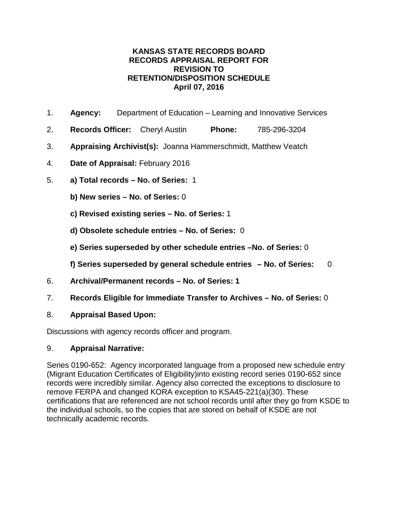- 1. **Agency:** Department of Education Learning and Innovative Services
- 2. **Records Officer:** Cheryl Austin **Phone:** 785-296-3204
- 3. **Appraising Archivist(s):** Joanna Hammerschmidt, Matthew Veatch
- 4. **Date of Appraisal:** February 2016
- 5. **a) Total records – No. of Series:** 1
	- **b) New series – No. of Series:** 0
	- **c) Revised existing series – No. of Series:** 1
	- **d) Obsolete schedule entries – No. of Series:** 0
	- **e) Series superseded by other schedule entries –No. of Series:** 0
	- **f) Series superseded by general schedule entries – No. of Series:** 0
- 6. **Archival/Permanent records – No. of Series: 1**
- 7. **Records Eligible for Immediate Transfer to Archives – No. of Series:** 0

#### 8. **Appraisal Based Upon:**

Discussions with agency records officer and program.

#### 9. **Appraisal Narrative:**

Series 0190-652: Agency incorporated language from a proposed new schedule entry (Migrant Education Certificates of Eligibility)into existing record series 0190-652 since records were incredibly similar. Agency also corrected the exceptions to disclosure to remove FERPA and changed KORA exception to KSA45-221(a)(30). These certifications that are referenced are not school records until after they go from KSDE to the individual schools, so the copies that are stored on behalf of KSDE are not technically academic records.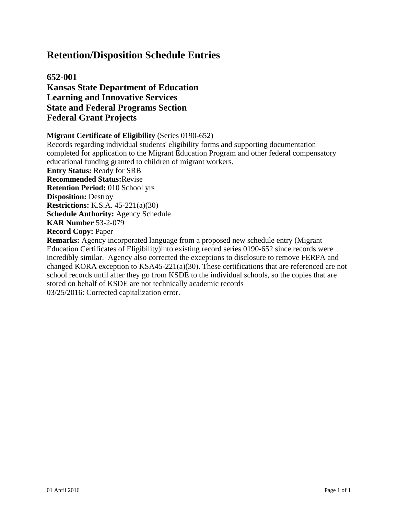**652-001 Kansas State Department of Education Learning and Innovative Services State and Federal Programs Section Federal Grant Projects**

**Migrant Certificate of Eligibility** (Series 0190-652)

Records regarding individual students' eligibility forms and supporting documentation completed for application to the Migrant Education Program and other federal compensatory educational funding granted to children of migrant workers. **Entry Status:** Ready for SRB **Recommended Status:**Revise **Retention Period:** 010 School yrs **Disposition:** Destroy **Restrictions:** K.S.A. 45-221(a)(30) **Schedule Authority:** Agency Schedule **KAR Number** 53-2-079 **Record Copy:** Paper **Remarks:** Agency incorporated language from a proposed new schedule entry (Migrant Education Certificates of Eligibility)into existing record series 0190-652 since records were incredibly similar. Agency also corrected the exceptions to disclosure to remove FERPA and changed KORA exception to KSA45-221(a)(30). These certifications that are referenced are not

school records until after they go from KSDE to the individual schools, so the copies that are stored on behalf of KSDE are not technically academic records 03/25/2016: Corrected capitalization error.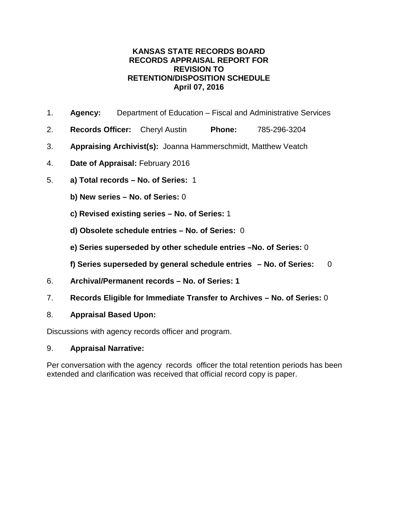- 1. **Agency:** Department of Education Fiscal and Administrative Services
- 2. **Records Officer:** Cheryl Austin **Phone:** 785-296-3204
- 3. **Appraising Archivist(s):** Joanna Hammerschmidt, Matthew Veatch
- 4. **Date of Appraisal:** February 2016
- 5. **a) Total records – No. of Series:** 1
	- **b) New series – No. of Series:** 0
	- **c) Revised existing series – No. of Series:** 1
	- **d) Obsolete schedule entries – No. of Series:** 0
	- **e) Series superseded by other schedule entries –No. of Series:** 0
	- **f) Series superseded by general schedule entries – No. of Series:** 0
- 6. **Archival/Permanent records – No. of Series: 1**
- 7. **Records Eligible for Immediate Transfer to Archives – No. of Series:** 0
- 8. **Appraisal Based Upon:**

Discussions with agency records officer and program.

#### 9. **Appraisal Narrative:**

Per conversation with the agency records officer the total retention periods has been extended and clarification was received that official record copy is paper.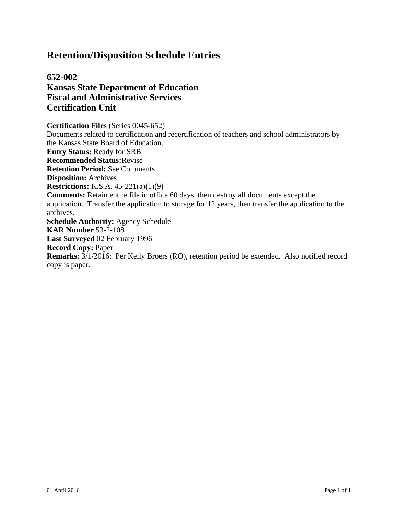**652-002 Kansas State Department of Education Fiscal and Administrative Services Certification Unit**

**Certification Files** (Series 0045-652) Documents related to certification and recertification of teachers and school administrators by the Kansas State Board of Education. **Entry Status:** Ready for SRB **Recommended Status:**Revise **Retention Period:** See Comments **Disposition:** Archives **Restrictions:** K.S.A. 45-221(a)(1)(9) **Comments:** Retain entire file in office 60 days, then destroy all documents except the application. Transfer the application to storage for 12 years, then transfer the application to the archives. **Schedule Authority:** Agency Schedule **KAR Number** 53-2-108 **Last Surveyed** 02 February 1996 **Record Copy:** Paper **Remarks:** 3/1/2016: Per Kelly Broers (RO), retention period be extended. Also notified record copy is paper.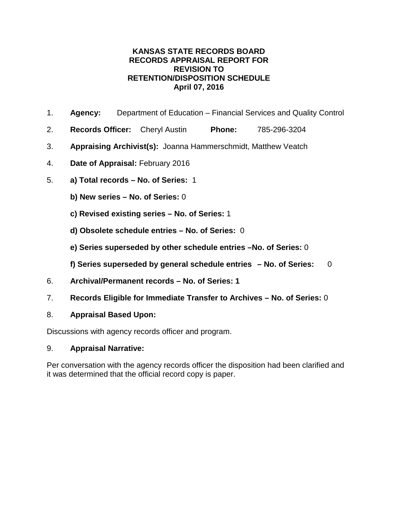- 1. **Agency:** Department of Education Financial Services and Quality Control
- 2. **Records Officer:** Cheryl Austin **Phone:** 785-296-3204
- 3. **Appraising Archivist(s):** Joanna Hammerschmidt, Matthew Veatch
- 4. **Date of Appraisal:** February 2016
- 5. **a) Total records – No. of Series:** 1
	- **b) New series – No. of Series:** 0
	- **c) Revised existing series – No. of Series:** 1
	- **d) Obsolete schedule entries – No. of Series:** 0
	- **e) Series superseded by other schedule entries –No. of Series:** 0
	- **f) Series superseded by general schedule entries – No. of Series:** 0
- 6. **Archival/Permanent records – No. of Series: 1**
- 7. **Records Eligible for Immediate Transfer to Archives – No. of Series:** 0
- 8. **Appraisal Based Upon:**

Discussions with agency records officer and program.

#### 9. **Appraisal Narrative:**

Per conversation with the agency records officer the disposition had been clarified and it was determined that the official record copy is paper.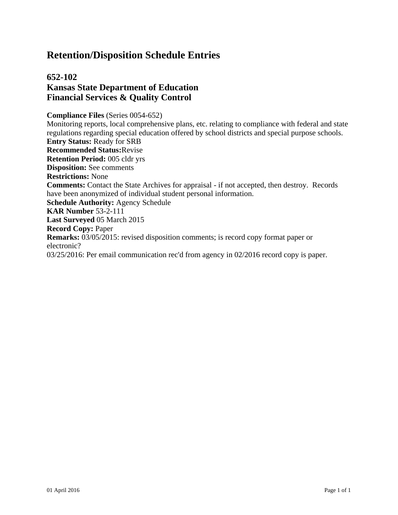### **652-102 Kansas State Department of Education Financial Services & Quality Control**

**Compliance Files** (Series 0054-652)

Monitoring reports, local comprehensive plans, etc. relating to compliance with federal and state regulations regarding special education offered by school districts and special purpose schools. **Entry Status:** Ready for SRB **Recommended Status:**Revise **Retention Period:** 005 cldr yrs **Disposition:** See comments **Restrictions:** None **Comments:** Contact the State Archives for appraisal - if not accepted, then destroy. Records have been anonymized of individual student personal information. **Schedule Authority:** Agency Schedule **KAR Number** 53-2-111 **Last Surveyed** 05 March 2015 **Record Copy:** Paper **Remarks:** 03/05/2015: revised disposition comments; is record copy format paper or electronic? 03/25/2016: Per email communication rec'd from agency in 02/2016 record copy is paper.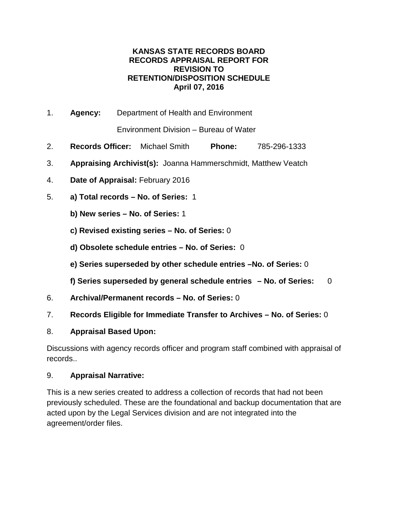1. **Agency:** Department of Health and Environment

Environment Division – Bureau of Water

- 2. **Records Officer:** Michael Smith **Phone:** 785-296-1333
- 3. **Appraising Archivist(s):** Joanna Hammerschmidt, Matthew Veatch
- 4. **Date of Appraisal:** February 2016
- 5. **a) Total records – No. of Series:** 1
	- **b) New series – No. of Series:** 1
	- **c) Revised existing series – No. of Series:** 0
	- **d) Obsolete schedule entries – No. of Series:** 0
	- **e) Series superseded by other schedule entries –No. of Series:** 0
	- **f) Series superseded by general schedule entries – No. of Series:** 0
- 6. **Archival/Permanent records – No. of Series:** 0
- 7. **Records Eligible for Immediate Transfer to Archives – No. of Series:** 0
- 8. **Appraisal Based Upon:**

Discussions with agency records officer and program staff combined with appraisal of records..

#### 9. **Appraisal Narrative:**

This is a new series created to address a collection of records that had not been previously scheduled. These are the foundational and backup documentation that are acted upon by the Legal Services division and are not integrated into the agreement/order files.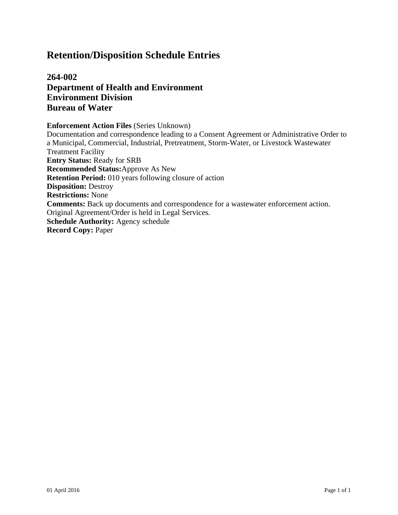### **264-002 Department of Health and Environment Environment Division Bureau of Water**

#### **Enforcement Action Files** (Series Unknown)

Documentation and correspondence leading to a Consent Agreement or Administrative Order to a Municipal, Commercial, Industrial, Pretreatment, Storm-Water, or Livestock Wastewater Treatment Facility **Entry Status:** Ready for SRB **Recommended Status:**Approve As New **Retention Period:** 010 years following closure of action **Disposition:** Destroy **Restrictions:** None **Comments:** Back up documents and correspondence for a wastewater enforcement action. Original Agreement/Order is held in Legal Services. **Schedule Authority:** Agency schedule **Record Copy:** Paper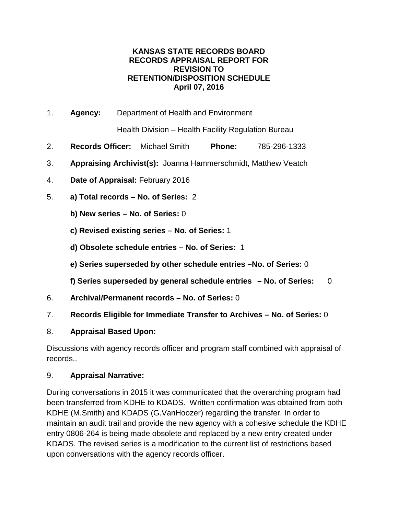1. **Agency:** Department of Health and Environment

Health Division – Health Facility Regulation Bureau

- 2. **Records Officer:** Michael Smith **Phone:** 785-296-1333
- 3. **Appraising Archivist(s):** Joanna Hammerschmidt, Matthew Veatch
- 4. **Date of Appraisal:** February 2016
- 5. **a) Total records – No. of Series:** 2
	- **b) New series – No. of Series:** 0
	- **c) Revised existing series – No. of Series:** 1
	- **d) Obsolete schedule entries – No. of Series:** 1
	- **e) Series superseded by other schedule entries –No. of Series:** 0
	- **f) Series superseded by general schedule entries – No. of Series:** 0
- 6. **Archival/Permanent records – No. of Series:** 0
- 7. **Records Eligible for Immediate Transfer to Archives – No. of Series:** 0
- 8. **Appraisal Based Upon:**

Discussions with agency records officer and program staff combined with appraisal of records..

#### 9. **Appraisal Narrative:**

During conversations in 2015 it was communicated that the overarching program had been transferred from KDHE to KDADS. Written confirmation was obtained from both KDHE (M.Smith) and KDADS (G.VanHoozer) regarding the transfer. In order to maintain an audit trail and provide the new agency with a cohesive schedule the KDHE entry 0806-264 is being made obsolete and replaced by a new entry created under KDADS. The revised series is a modification to the current list of restrictions based upon conversations with the agency records officer.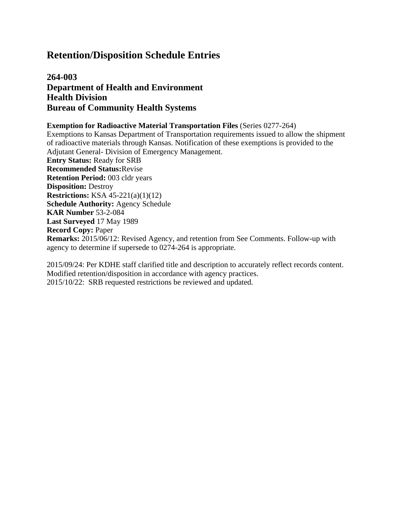### **264-003 Department of Health and Environment Health Division Bureau of Community Health Systems**

#### **Exemption for Radioactive Material Transportation Files** (Series 0277-264)

Exemptions to Kansas Department of Transportation requirements issued to allow the shipment of radioactive materials through Kansas. Notification of these exemptions is provided to the Adjutant General- Division of Emergency Management.

**Entry Status:** Ready for SRB **Recommended Status:**Revise **Retention Period:** 003 cldr years **Disposition:** Destroy **Restrictions:** KSA 45-221(a)(1)(12) **Schedule Authority:** Agency Schedule **KAR Number** 53-2-084 **Last Surveyed** 17 May 1989 **Record Copy:** Paper **Remarks:** 2015/06/12: Revised Agency, and retention from See Comments. Follow-up with agency to determine if supersede to 0274-264 is appropriate.

2015/09/24: Per KDHE staff clarified title and description to accurately reflect records content. Modified retention/disposition in accordance with agency practices. 2015/10/22: SRB requested restrictions be reviewed and updated.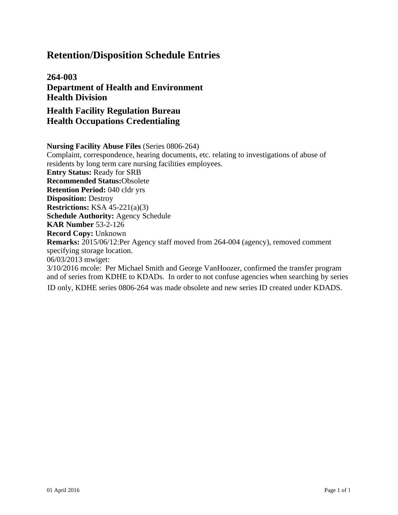**264-003 Department of Health and Environment Health Division** 

**Health Facility Regulation Bureau Health Occupations Credentialing**

**Nursing Facility Abuse Files** (Series 0806-264) Complaint, correspondence, hearing documents, etc. relating to investigations of abuse of residents by long term care nursing facilities employees. **Entry Status:** Ready for SRB **Recommended Status:**Obsolete **Retention Period:** 040 cldr yrs **Disposition:** Destroy **Restrictions:** KSA 45-221(a)(3) **Schedule Authority:** Agency Schedule **KAR Number** 53-2-126 **Record Copy:** Unknown **Remarks:** 2015/06/12:Per Agency staff moved from 264-004 (agency), removed comment specifying storage location. 06/03/2013 mwiget: 3/10/2016 mcole: Per Michael Smith and George VanHoozer, confirmed the transfer program and of series from KDHE to KDADs. In order to not confuse agencies when searching by series ID only, KDHE series 0806-264 was made obsolete and new series ID created under KDADS.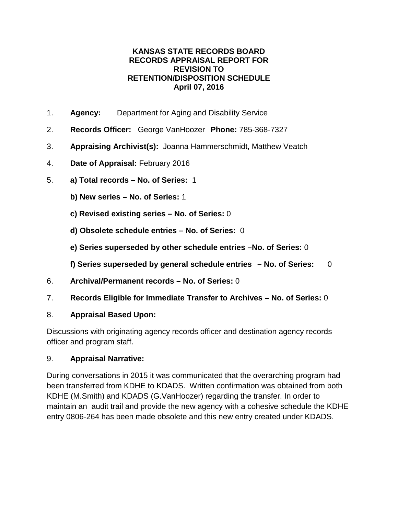- 1. **Agency:** Department for Aging and Disability Service
- 2. **Records Officer:** George VanHoozer **Phone:** 785-368-7327
- 3. **Appraising Archivist(s):** Joanna Hammerschmidt, Matthew Veatch
- 4. **Date of Appraisal:** February 2016
- 5. **a) Total records – No. of Series:** 1
	- **b) New series – No. of Series:** 1
	- **c) Revised existing series – No. of Series:** 0
	- **d) Obsolete schedule entries – No. of Series:** 0
	- **e) Series superseded by other schedule entries –No. of Series:** 0
	- **f) Series superseded by general schedule entries – No. of Series:** 0
- 6. **Archival/Permanent records – No. of Series:** 0
- 7. **Records Eligible for Immediate Transfer to Archives – No. of Series:** 0

### 8. **Appraisal Based Upon:**

Discussions with originating agency records officer and destination agency records officer and program staff.

### 9. **Appraisal Narrative:**

During conversations in 2015 it was communicated that the overarching program had been transferred from KDHE to KDADS. Written confirmation was obtained from both KDHE (M.Smith) and KDADS (G.VanHoozer) regarding the transfer. In order to maintain an audit trail and provide the new agency with a cohesive schedule the KDHE entry 0806-264 has been made obsolete and this new entry created under KDADS.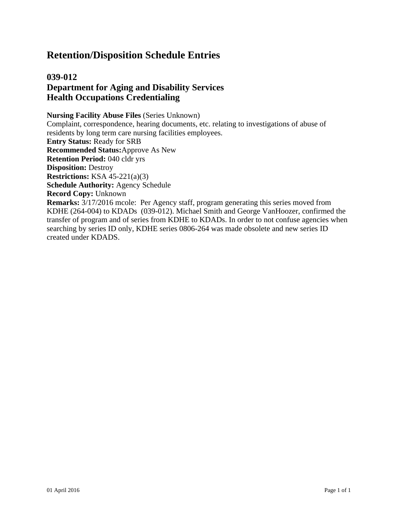### **039-012 Department for Aging and Disability Services Health Occupations Credentialing**

**Nursing Facility Abuse Files** (Series Unknown) Complaint, correspondence, hearing documents, etc. relating to investigations of abuse of residents by long term care nursing facilities employees. **Entry Status:** Ready for SRB **Recommended Status:**Approve As New **Retention Period:** 040 cldr yrs **Disposition:** Destroy **Restrictions:** KSA 45-221(a)(3) **Schedule Authority:** Agency Schedule **Record Copy:** Unknown **Remarks:** 3/17/2016 mcole: Per Agency staff, program generating this series moved from KDHE (264-004) to KDADs (039-012). Michael Smith and George VanHoozer, confirmed the transfer of program and of series from KDHE to KDADs. In order to not confuse agencies when searching by series ID only, KDHE series 0806-264 was made obsolete and new series ID created under KDADS.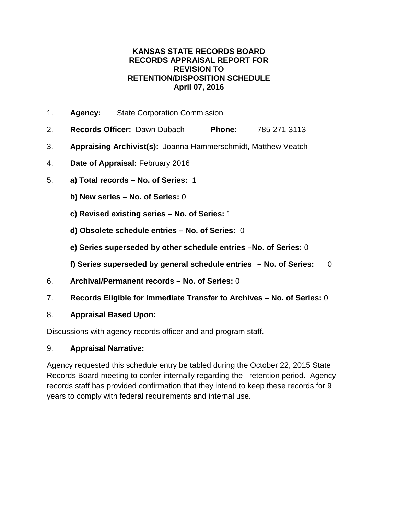- 1. **Agency:** State Corporation Commission
- 2. **Records Officer:** Dawn Dubach **Phone:** 785-271-3113
- 3. **Appraising Archivist(s):** Joanna Hammerschmidt, Matthew Veatch
- 4. **Date of Appraisal:** February 2016
- 5. **a) Total records – No. of Series:** 1
	- **b) New series – No. of Series:** 0
	- **c) Revised existing series – No. of Series:** 1
	- **d) Obsolete schedule entries – No. of Series:** 0
	- **e) Series superseded by other schedule entries –No. of Series:** 0
	- **f) Series superseded by general schedule entries – No. of Series:** 0
- 6. **Archival/Permanent records – No. of Series:** 0
- 7. **Records Eligible for Immediate Transfer to Archives – No. of Series:** 0
- 8. **Appraisal Based Upon:**

Discussions with agency records officer and and program staff.

#### 9. **Appraisal Narrative:**

Agency requested this schedule entry be tabled during the October 22, 2015 State Records Board meeting to confer internally regarding the retention period. Agency records staff has provided confirmation that they intend to keep these records for 9 years to comply with federal requirements and internal use.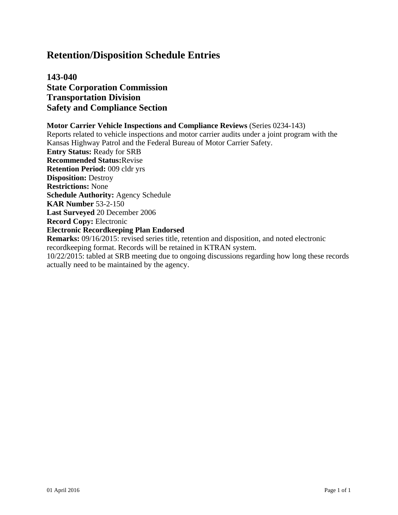### **143-040 State Corporation Commission Transportation Division Safety and Compliance Section**

**Motor Carrier Vehicle Inspections and Compliance Reviews** (Series 0234-143) Reports related to vehicle inspections and motor carrier audits under a joint program with the Kansas Highway Patrol and the Federal Bureau of Motor Carrier Safety. **Entry Status:** Ready for SRB **Recommended Status:**Revise **Retention Period:** 009 cldr yrs **Disposition:** Destroy **Restrictions:** None **Schedule Authority:** Agency Schedule **KAR Number** 53-2-150 **Last Surveyed** 20 December 2006 **Record Copy:** Electronic **Electronic Recordkeeping Plan Endorsed Remarks:** 09/16/2015: revised series title, retention and disposition, and noted electronic recordkeeping format. Records will be retained in KTRAN system.

10/22/2015: tabled at SRB meeting due to ongoing discussions regarding how long these records actually need to be maintained by the agency.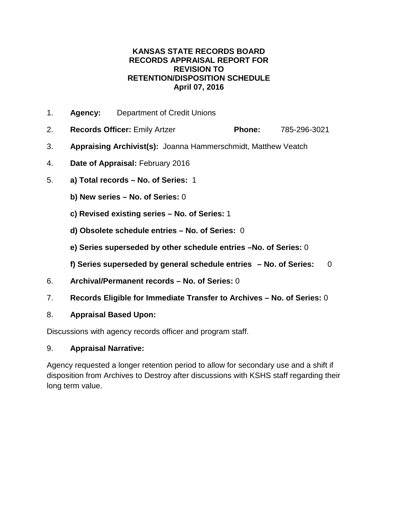- 1. **Agency:** Department of Credit Unions
- 2. **Records Officer:** Emily Artzer **Phone:** 785-296-3021
- 3. **Appraising Archivist(s):** Joanna Hammerschmidt, Matthew Veatch
- 4. **Date of Appraisal:** February 2016
- 5. **a) Total records – No. of Series:** 1
	- **b) New series – No. of Series:** 0
	- **c) Revised existing series – No. of Series:** 1
	- **d) Obsolete schedule entries – No. of Series:** 0
	- **e) Series superseded by other schedule entries –No. of Series:** 0
	- **f) Series superseded by general schedule entries – No. of Series:** 0
- 6. **Archival/Permanent records – No. of Series:** 0
- 7. **Records Eligible for Immediate Transfer to Archives – No. of Series:** 0
- 8. **Appraisal Based Upon:**

Discussions with agency records officer and program staff.

#### 9. **Appraisal Narrative:**

Agency requested a longer retention period to allow for secondary use and a shift if disposition from Archives to Destroy after discussions with KSHS staff regarding their long term value.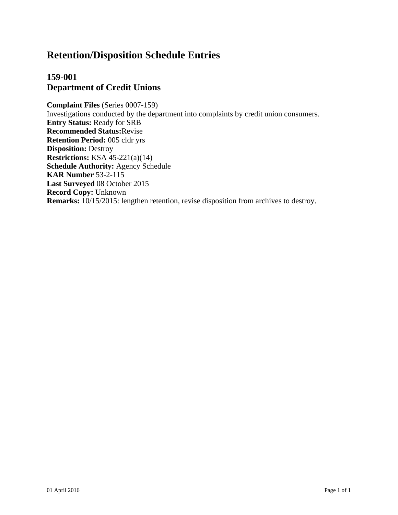### **159-001 Department of Credit Unions**

**Complaint Files** (Series 0007-159) Investigations conducted by the department into complaints by credit union consumers. **Entry Status:** Ready for SRB **Recommended Status:**Revise **Retention Period:** 005 cldr yrs **Disposition:** Destroy **Restrictions:** KSA 45-221(a)(14) **Schedule Authority:** Agency Schedule **KAR Number** 53-2-115 **Last Surveyed** 08 October 2015 **Record Copy:** Unknown **Remarks:** 10/15/2015: lengthen retention, revise disposition from archives to destroy.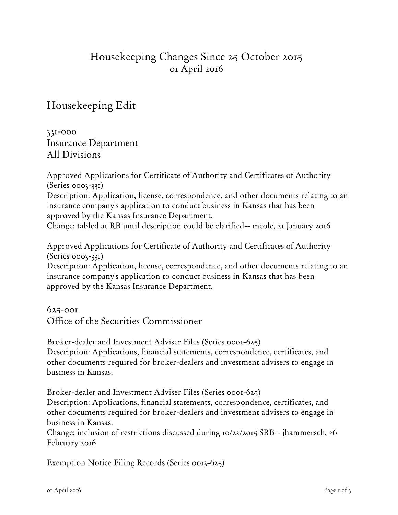# Housekeeping Changes Since 25 October 2015 01 April 2016

Housekeeping Edit

331-000 Insurance Department All Divisions

Approved Applications for Certificate of Authority and Certificates of Authority (Series 0003-331) Description: Application, license, correspondence, and other documents relating to an insurance company's application to conduct business in Kansas that has been approved by the Kansas Insurance Department. Change: tabled at RB until description could be clarified-- mcole, 21 January 2016

Approved Applications for Certificate of Authority and Certificates of Authority (Series 0003-331)

Description: Application, license, correspondence, and other documents relating to an insurance company's application to conduct business in Kansas that has been approved by the Kansas Insurance Department.

## 625-001 Office of the Securities Commissioner

Broker-dealer and Investment Adviser Files (Series 0001-625) Description: Applications, financial statements, correspondence, certificates, and other documents required for broker-dealers and investment advisers to engage in business in Kansas.

Broker-dealer and Investment Adviser Files (Series 0001-625) Description: Applications, financial statements, correspondence, certificates, and other documents required for broker-dealers and investment advisers to engage in business in Kansas.

Change: inclusion of restrictions discussed during 10/22/2015 SRB-- jhammersch, 26 February 2016

Exemption Notice Filing Records (Series 0013-625)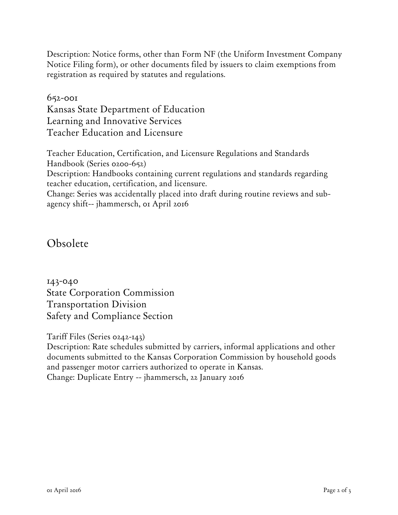Description: Notice forms, other than Form NF (the Uniform Investment Company Notice Filing form), or other documents filed by issuers to claim exemptions from registration as required by statutes and regulations.

652-001 Kansas State Department of Education Learning and Innovative Services Teacher Education and Licensure

Teacher Education, Certification, and Licensure Regulations and Standards Handbook (Series 0200-652) Description: Handbooks containing current regulations and standards regarding teacher education, certification, and licensure. Change: Series was accidentally placed into draft during routine reviews and subagency shift-- jhammersch, 01 April 2016

Obsolete

143-040 State Corporation Commission Transportation Division Safety and Compliance Section

Tariff Files (Series 0242-143)

Description: Rate schedules submitted by carriers, informal applications and other documents submitted to the Kansas Corporation Commission by household goods and passenger motor carriers authorized to operate in Kansas. Change: Duplicate Entry -- jhammersch, 22 January 2016